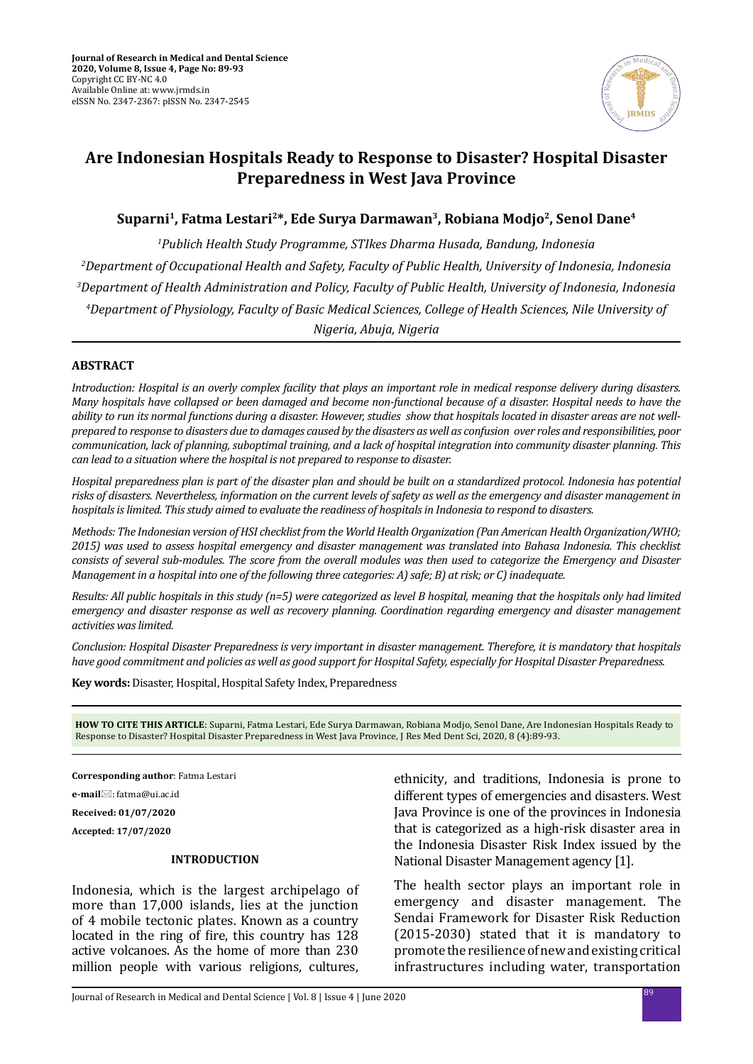

# **Are Indonesian Hospitals Ready to Response to Disaster? Hospital Disaster Preparedness in West Java Province**

# **Suparni1, Fatma Lestari2\*, Ede Surya Darmawan3, Robiana Modjo2, Senol Dane4**

 *Publich Health Study Programme, STIkes Dharma Husada, Bandung, Indonesia Department of Occupational Health and Safety, Faculty of Public Health, University of Indonesia, Indonesia Department of Health Administration and Policy, Faculty of Public Health, University of Indonesia, Indonesia Department of Physiology, Faculty of Basic Medical Sciences, College of Health Sciences, Nile University of Nigeria, Abuja, Nigeria*

# **ABSTRACT**

*Introduction: Hospital is an overly complex facility that plays an important role in medical response delivery during disasters. Many hospitals have collapsed or been damaged and become non-functional because of a disaster. Hospital needs to have the ability to run its normal functions during a disaster. However, studies show that hospitals located in disaster areas are not wellprepared to response to disasters due to damages caused by the disasters as well as confusion over roles and responsibilities, poor communication, lack of planning, suboptimal training, and a lack of hospital integration into community disaster planning. This can lead to a situation where the hospital is not prepared to response to disaster.* 

*Hospital preparedness plan is part of the disaster plan and should be built on a standardized protocol. Indonesia has potential risks of disasters. Nevertheless, information on the current levels of safety as well as the emergency and disaster management in hospitals is limited. This study aimed to evaluate the readiness of hospitals in Indonesia to respond to disasters.*

*Methods: The Indonesian version of HSI checklist from the World Health Organization (Pan American Health Organization/WHO; 2015) was used to assess hospital emergency and disaster management was translated into Bahasa Indonesia. This checklist consists of several sub-modules. The score from the overall modules was then used to categorize the Emergency and Disaster Management in a hospital into one of the following three categories: A) safe; B) at risk; or C) inadequate.*

*Results: All public hospitals in this study (n=5) were categorized as level B hospital, meaning that the hospitals only had limited emergency and disaster response as well as recovery planning. Coordination regarding emergency and disaster management activities was limited.*

*Conclusion: Hospital Disaster Preparedness is very important in disaster management. Therefore, it is mandatory that hospitals have good commitment and policies as well as good support for Hospital Safety, especially for Hospital Disaster Preparedness.*

**Key words:** Disaster, Hospital, Hospital Safety Index, Preparedness

**HOW TO CITE THIS ARTICLE**: Suparni, Fatma Lestari, Ede Surya Darmawan, Robiana Modjo, Senol Dane, Are Indonesian Hospitals Ready to Response to Disaster? Hospital Disaster Preparedness in West Java Province, J Res Med Dent Sci, 2020, 8 (4):89-93.

**Corresponding author**: Fatma Lestari

**e-mail**⊠: fatma@ui.ac.id

**Received: 01/07/2020**

**Accepted: 17/07/2020**

### **INTRODUCTION**

Indonesia, which is the largest archipelago of more than 17,000 islands, lies at the junction of 4 mobile tectonic plates. Known as a country located in the ring of fire, this country has 128 active volcanoes. As the home of more than 230 million people with various religions, cultures, ethnicity, and traditions, Indonesia is prone to different types of emergencies and disasters. West Java Province is one of the provinces in Indonesia that is categorized as a high-risk disaster area in the Indonesia Disaster Risk Index issued by the National Disaster Management agency [1].

The health sector plays an important role in emergency and disaster management. The Sendai Framework for Disaster Risk Reduction (2015-2030) stated that it is mandatory to promote the resilience of new and existing critical infrastructures including water, transportation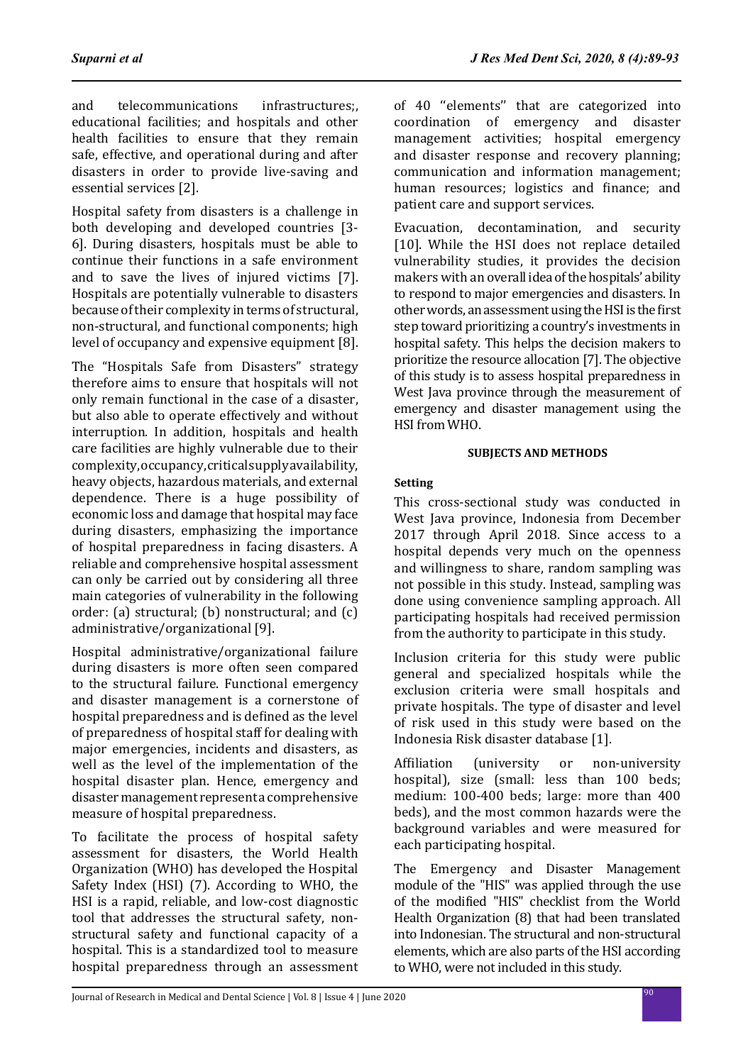and telecommunications infrastructures;, educational facilities; and hospitals and other health facilities to ensure that they remain safe, effective, and operational during and after disasters in order to provide live-saving and essential services [2].

Hospital safety from disasters is a challenge in both developing and developed countries [3- 6]. During disasters, hospitals must be able to continue their functions in a safe environment and to save the lives of injured victims [7]. Hospitals are potentially vulnerable to disasters because of their complexity in terms of structural, non-structural, and functional components; high level of occupancy and expensive equipment [8].

The "Hospitals Safe from Disasters" strategy therefore aims to ensure that hospitals will not only remain functional in the case of a disaster, but also able to operate effectively and without interruption. In addition, hospitals and health care facilities are highly vulnerable due to their complexity, occupancy, critical supply availability, heavy objects, hazardous materials, and external dependence. There is a huge possibility of economic loss and damage that hospital may face during disasters, emphasizing the importance of hospital preparedness in facing disasters. A reliable and comprehensive hospital assessment can only be carried out by considering all three main categories of vulnerability in the following order: (a) structural; (b) nonstructural; and (c) administrative/organizational [9].

Hospital administrative/organizational failure during disasters is more often seen compared to the structural failure. Functional emergency and disaster management is a cornerstone of hospital preparedness and is defined as the level of preparedness of hospital staff for dealing with major emergencies, incidents and disasters, as well as the level of the implementation of the hospital disaster plan. Hence, emergency and disaster management represent a comprehensive measure of hospital preparedness.

To facilitate the process of hospital safety assessment for disasters, the World Health Organization (WHO) has developed the Hospital Safety Index (HSI) (7). According to WHO, the HSI is a rapid, reliable, and low-cost diagnostic tool that addresses the structural safety, nonstructural safety and functional capacity of a hospital. This is a standardized tool to measure hospital preparedness through an assessment

of 40 ''elements'' that are categorized into coordination of emergency and disaster management activities; hospital emergency and disaster response and recovery planning; communication and information management; human resources; logistics and finance; and patient care and support services.

Evacuation, decontamination, and security [10]. While the HSI does not replace detailed vulnerability studies, it provides the decision makers with an overall idea of the hospitals' ability to respond to major emergencies and disasters. In other words, an assessment using the HSI is the first step toward prioritizing a country's investments in hospital safety. This helps the decision makers to prioritize the resource allocation [7]. The objective of this study is to assess hospital preparedness in West Java province through the measurement of emergency and disaster management using the HSI from WHO.

# **SUBJECTS AND METHODS**

# **Setting**

This cross-sectional study was conducted in West Java province, Indonesia from December 2017 through April 2018. Since access to a hospital depends very much on the openness and willingness to share, random sampling was not possible in this study. Instead, sampling was done using convenience sampling approach. All participating hospitals had received permission from the authority to participate in this study.

Inclusion criteria for this study were public general and specialized hospitals while the exclusion criteria were small hospitals and private hospitals. The type of disaster and level of risk used in this study were based on the Indonesia Risk disaster database [1].

Affiliation (university or non-university hospital), size (small: less than 100 beds; medium: 100-400 beds; large: more than 400 beds), and the most common hazards were the background variables and were measured for each participating hospital.

The Emergency and Disaster Management module of the "HIS" was applied through the use of the modified "HIS" checklist from the World Health Organization (8) that had been translated into Indonesian. The structural and non-structural elements, which are also parts of the HSI according to WHO, were not included in this study.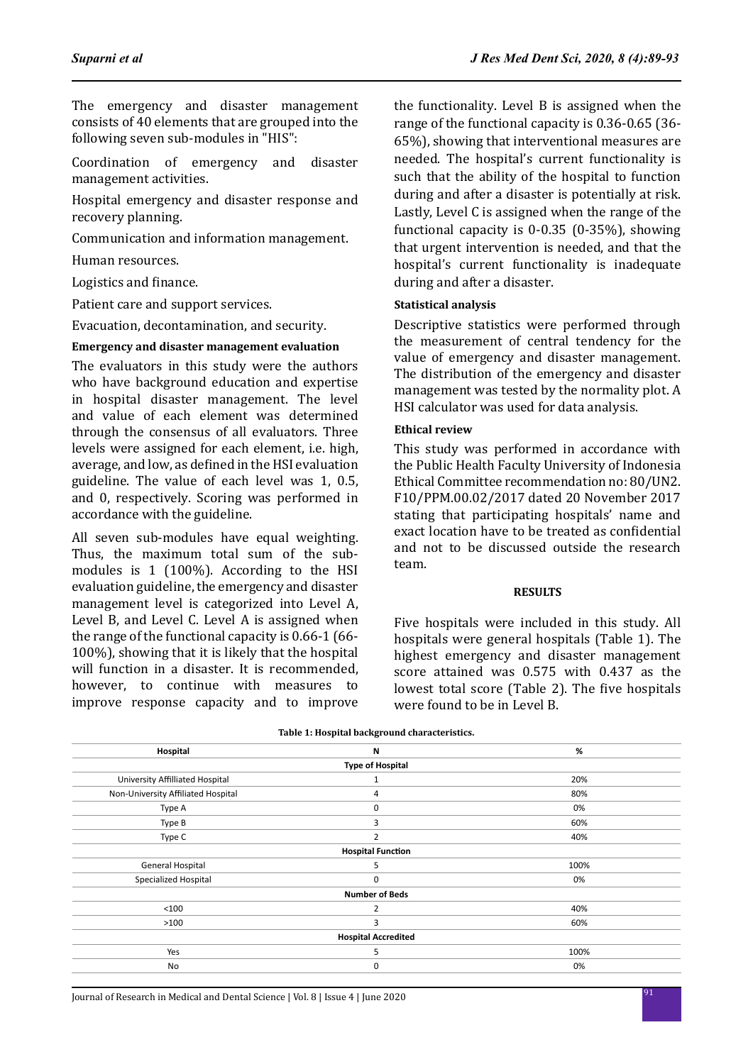The emergency and disaster management consists of 40 elements that are grouped into the following seven sub-modules in "HIS":

Coordination of emergency and disaster management activities.

Hospital emergency and disaster response and recovery planning.

Communication and information management.

Human resources.

Logistics and finance.

Patient care and support services.

Evacuation, decontamination, and security.

# **Emergency and disaster management evaluation**

The evaluators in this study were the authors who have background education and expertise in hospital disaster management. The level and value of each element was determined through the consensus of all evaluators. Three levels were assigned for each element, i.e. high, average, and low, as defined in the HSI evaluation guideline. The value of each level was 1, 0.5, and 0, respectively. Scoring was performed in accordance with the guideline.

All seven sub-modules have equal weighting. Thus, the maximum total sum of the submodules is 1 (100%). According to the HSI evaluation guideline, the emergency and disaster management level is categorized into Level A, Level B, and Level C. Level A is assigned when the range of the functional capacity is 0.66-1 (66- 100%), showing that it is likely that the hospital will function in a disaster. It is recommended, however, to continue with measures to improve response capacity and to improve the functionality. Level B is assigned when the range of the functional capacity is 0.36-0.65 (36- 65%), showing that interventional measures are needed. The hospital's current functionality is such that the ability of the hospital to function during and after a disaster is potentially at risk. Lastly, Level C is assigned when the range of the functional capacity is 0-0.35 (0-35%), showing that urgent intervention is needed, and that the hospital's current functionality is inadequate during and after a disaster.

# **Statistical analysis**

Descriptive statistics were performed through the measurement of central tendency for the value of emergency and disaster management. The distribution of the emergency and disaster management was tested by the normality plot. A HSI calculator was used for data analysis.

# **Ethical review**

This study was performed in accordance with the Public Health Faculty University of Indonesia Ethical Committee recommendation no: 80/UN2. F10/PPM.00.02/2017 dated 20 November 2017 stating that participating hospitals' name and exact location have to be treated as confidential and not to be discussed outside the research team.

# **RESULTS**

Five hospitals were included in this study. All hospitals were general hospitals (Table 1). The highest emergency and disaster management score attained was 0.575 with 0.437 as the lowest total score (Table 2). The five hospitals were found to be in Level B.

| Hospital                           | N              | %    |  |  |  |  |  |
|------------------------------------|----------------|------|--|--|--|--|--|
| <b>Type of Hospital</b>            |                |      |  |  |  |  |  |
| University Affilliated Hospital    | 1              | 20%  |  |  |  |  |  |
| Non-University Affiliated Hospital | 4              | 80%  |  |  |  |  |  |
| Type A                             | 0              | 0%   |  |  |  |  |  |
| Type B                             | 3              | 60%  |  |  |  |  |  |
| Type C                             | $\overline{2}$ | 40%  |  |  |  |  |  |
| <b>Hospital Function</b>           |                |      |  |  |  |  |  |
| General Hospital                   | 5              | 100% |  |  |  |  |  |
| Specialized Hospital               | 0              | 0%   |  |  |  |  |  |
| <b>Number of Beds</b>              |                |      |  |  |  |  |  |
| < 100                              | $\overline{2}$ | 40%  |  |  |  |  |  |
| >100                               | 3              | 60%  |  |  |  |  |  |
| <b>Hospital Accredited</b>         |                |      |  |  |  |  |  |
| Yes                                | 5              | 100% |  |  |  |  |  |
| No                                 | 0              | 0%   |  |  |  |  |  |

### **Table 1: Hospital background characteristics.**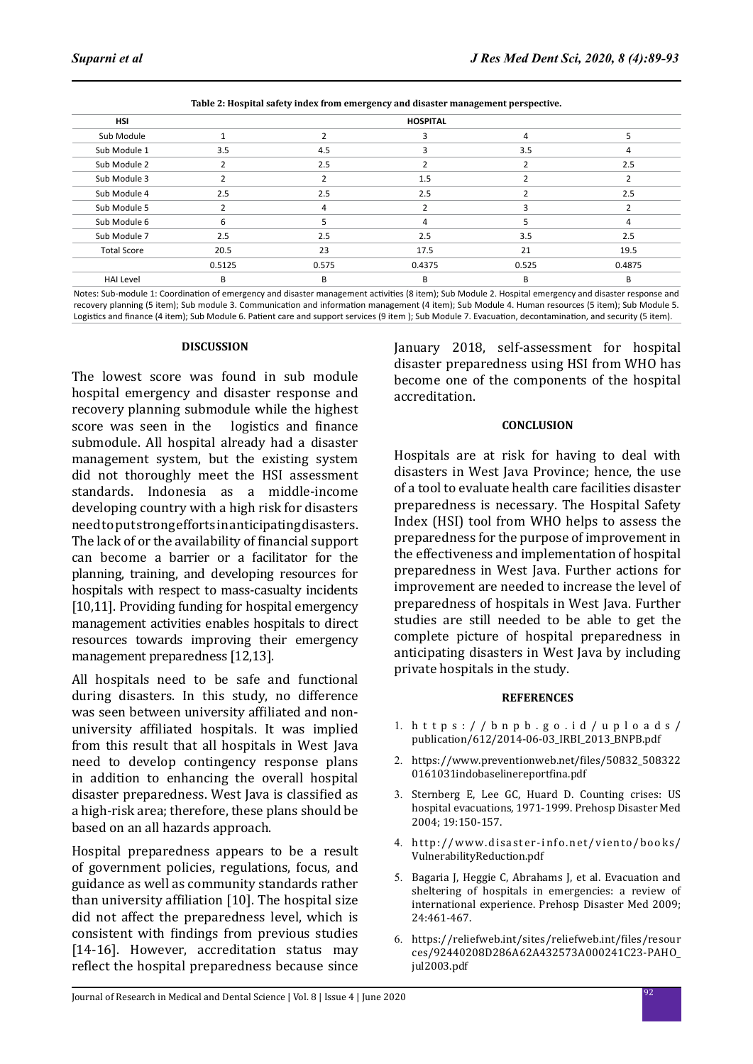|                                      |                 | $\cdot$ |        | ີ<br>$\mathbf{r}$<br>. . |        |  |
|--------------------------------------|-----------------|---------|--------|--------------------------|--------|--|
| <b>HSI</b>                           | <b>HOSPITAL</b> |         |        |                          |        |  |
| Sub Module                           |                 |         |        | 4                        |        |  |
| Sub Module 1                         | 3.5             | 4.5     |        | 3.5                      | 4      |  |
| Sub Module 2                         | $\overline{2}$  | 2.5     |        |                          | 2.5    |  |
| Sub Module 3                         | $\mathcal{P}$   |         | 1.5    |                          |        |  |
| Sub Module 4                         | 2.5             | 2.5     | 2.5    |                          | 2.5    |  |
| Sub Module 5                         | $\overline{2}$  | 4       |        | з                        |        |  |
| Sub Module 6                         | 6               |         | 4      |                          | 4      |  |
| Sub Module 7                         | 2.5             | 2.5     | 2.5    | 3.5                      | 2.5    |  |
| <b>Total Score</b><br>20.5<br>0.5125 |                 | 23      | 17.5   | 21                       | 19.5   |  |
|                                      |                 | 0.575   | 0.4375 | 0.525                    | 0.4875 |  |
| <b>HAI Level</b>                     | B               | B       | B      | B                        | В      |  |

**Table 2: Hospital safety index from emergency and disaster management perspective.**

Notes: Sub-module 1: Coordination of emergency and disaster management activities (8 item); Sub Module 2. Hospital emergency and disaster response and recovery planning (5 item); Sub module 3. Communication and information management (4 item); Sub Module 4. Human resources (5 item); Sub Module 5. Logistics and finance (4 item); Sub Module 6. Patient care and support services (9 item ); Sub Module 7. Evacuation, decontamination, and security (5 item).

#### **DISCUSSION**

The lowest score was found in sub module hospital emergency and disaster response and recovery planning submodule while the highest<br>score was seen in the logistics and finance score was seen in the submodule. All hospital already had a disaster management system, but the existing system did not thoroughly meet the HSI assessment standards. Indonesia as a middle-income developing country with a high risk for disasters need to put strong efforts in anticipating disasters. The lack of or the availability of financial support can become a barrier or a facilitator for the planning, training, and developing resources for hospitals with respect to mass-casualty incidents [10,11]. Providing funding for hospital emergency management activities enables hospitals to direct resources towards improving their emergency management preparedness [12,13].

All hospitals need to be safe and functional during disasters. In this study, no difference was seen between university affiliated and nonuniversity affiliated hospitals. It was implied from this result that all hospitals in West Java need to develop contingency response plans in addition to enhancing the overall hospital disaster preparedness. West Java is classified as a high-risk area; therefore, these plans should be based on an all hazards approach.

Hospital preparedness appears to be a result of government policies, regulations, focus, and guidance as well as community standards rather than university affiliation [10]. The hospital size did not affect the preparedness level, which is consistent with findings from previous studies [14-16]. However, accreditation status may reflect the hospital preparedness because since January 2018, self-assessment for hospital disaster preparedness using HSI from WHO has become one of the components of the hospital accreditation.

# **CONCLUSION**

Hospitals are at risk for having to deal with disasters in West Java Province; hence, the use of a tool to evaluate health care facilities disaster preparedness is necessary. The Hospital Safety Index (HSI) tool from WHO helps to assess the preparedness for the purpose of improvement in the effectiveness and implementation of hospital preparedness in West Java. Further actions for improvement are needed to increase the level of preparedness of hospitals in West Java. Further studies are still needed to be able to get the complete picture of hospital preparedness in anticipating disasters in West Java by including private hospitals in the study.

# **REFERENCES**

- 1. https://bnpb.go.id/uploads/ publication/612/2014-06-03\_IRBI\_2013\_BNPB.pdf
- 2. https://www.preventionweb.net/files/50832\_508322 0161031indobaselinereportfina.pdf
- 3. Sternberg E, Lee GC, Huard D. Counting crises: US hospital evacuations, 1971-1999. Prehosp Disaster Med 2004; 19:150-157.
- 4. http://www.disaster-info.net/viento/books/ VulnerabilityReduction.pdf
- 5. Bagaria J, Heggie C, Abrahams J, et al. Evacuation and sheltering of hospitals in emergencies: a review of international experience. Prehosp Disaster Med 2009; 24:461-467.
- 6. https://reliefweb.int/sites/reliefweb.int/files/resour ces/92440208D286A62A432573A000241C23-PAHO\_ jul2003.pdf